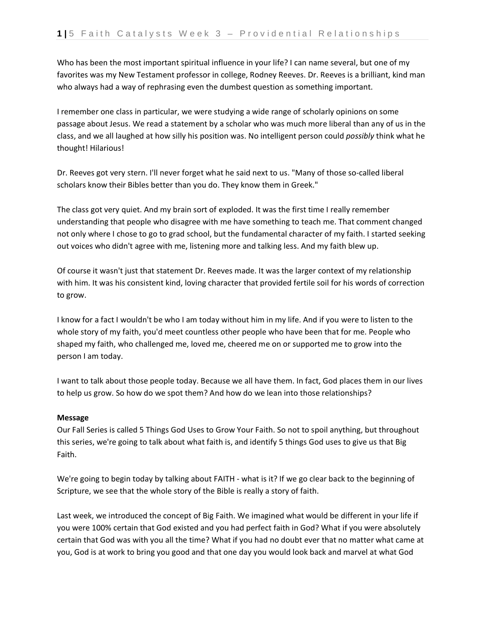Who has been the most important spiritual influence in your life? I can name several, but one of my favorites was my New Testament professor in college, Rodney Reeves. Dr. Reeves is a brilliant, kind man who always had a way of rephrasing even the dumbest question as something important.

I remember one class in particular, we were studying a wide range of scholarly opinions on some passage about Jesus. We read a statement by a scholar who was much more liberal than any of us in the class, and we all laughed at how silly his position was. No intelligent person could *possibly* think what he thought! Hilarious!

Dr. Reeves got very stern. I'll never forget what he said next to us. "Many of those so-called liberal scholars know their Bibles better than you do. They know them in Greek."

The class got very quiet. And my brain sort of exploded. It was the first time I really remember understanding that people who disagree with me have something to teach me. That comment changed not only where I chose to go to grad school, but the fundamental character of my faith. I started seeking out voices who didn't agree with me, listening more and talking less. And my faith blew up.

Of course it wasn't just that statement Dr. Reeves made. It was the larger context of my relationship with him. It was his consistent kind, loving character that provided fertile soil for his words of correction to grow.

I know for a fact I wouldn't be who I am today without him in my life. And if you were to listen to the whole story of my faith, you'd meet countless other people who have been that for me. People who shaped my faith, who challenged me, loved me, cheered me on or supported me to grow into the person I am today.

I want to talk about those people today. Because we all have them. In fact, God places them in our lives to help us grow. So how do we spot them? And how do we lean into those relationships?

## **Message**

Our Fall Series is called 5 Things God Uses to Grow Your Faith. So not to spoil anything, but throughout this series, we're going to talk about what faith is, and identify 5 things God uses to give us that Big Faith.

We're going to begin today by talking about FAITH - what is it? If we go clear back to the beginning of Scripture, we see that the whole story of the Bible is really a story of faith.

Last week, we introduced the concept of Big Faith. We imagined what would be different in your life if you were 100% certain that God existed and you had perfect faith in God? What if you were absolutely certain that God was with you all the time? What if you had no doubt ever that no matter what came at you, God is at work to bring you good and that one day you would look back and marvel at what God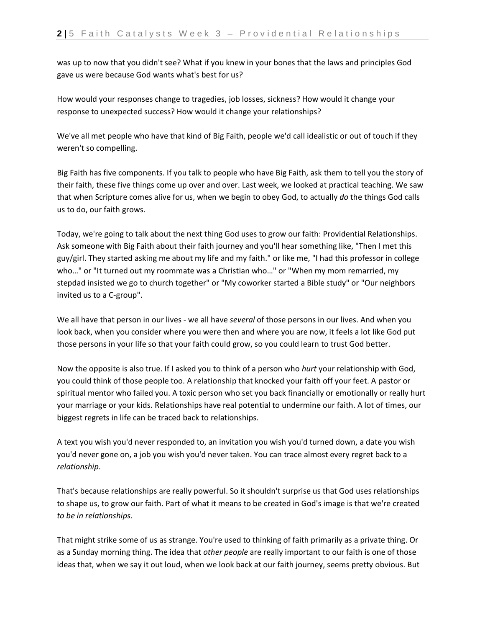was up to now that you didn't see? What if you knew in your bones that the laws and principles God gave us were because God wants what's best for us?

How would your responses change to tragedies, job losses, sickness? How would it change your response to unexpected success? How would it change your relationships?

We've all met people who have that kind of Big Faith, people we'd call idealistic or out of touch if they weren't so compelling.

Big Faith has five components. If you talk to people who have Big Faith, ask them to tell you the story of their faith, these five things come up over and over. Last week, we looked at practical teaching. We saw that when Scripture comes alive for us, when we begin to obey God, to actually *do* the things God calls us to do, our faith grows.

Today, we're going to talk about the next thing God uses to grow our faith: Providential Relationships. Ask someone with Big Faith about their faith journey and you'll hear something like, "Then I met this guy/girl. They started asking me about my life and my faith." or like me, "I had this professor in college who…" or "It turned out my roommate was a Christian who…" or "When my mom remarried, my stepdad insisted we go to church together" or "My coworker started a Bible study" or "Our neighbors invited us to a C-group".

We all have that person in our lives - we all have *several* of those persons in our lives. And when you look back, when you consider where you were then and where you are now, it feels a lot like God put those persons in your life so that your faith could grow, so you could learn to trust God better.

Now the opposite is also true. If I asked you to think of a person who *hurt* your relationship with God, you could think of those people too. A relationship that knocked your faith off your feet. A pastor or spiritual mentor who failed you. A toxic person who set you back financially or emotionally or really hurt your marriage or your kids. Relationships have real potential to undermine our faith. A lot of times, our biggest regrets in life can be traced back to relationships.

A text you wish you'd never responded to, an invitation you wish you'd turned down, a date you wish you'd never gone on, a job you wish you'd never taken. You can trace almost every regret back to a *relationship*.

That's because relationships are really powerful. So it shouldn't surprise us that God uses relationships to shape us, to grow our faith. Part of what it means to be created in God's image is that we're created *to be in relationships*.

That might strike some of us as strange. You're used to thinking of faith primarily as a private thing. Or as a Sunday morning thing. The idea that *other people* are really important to our faith is one of those ideas that, when we say it out loud, when we look back at our faith journey, seems pretty obvious. But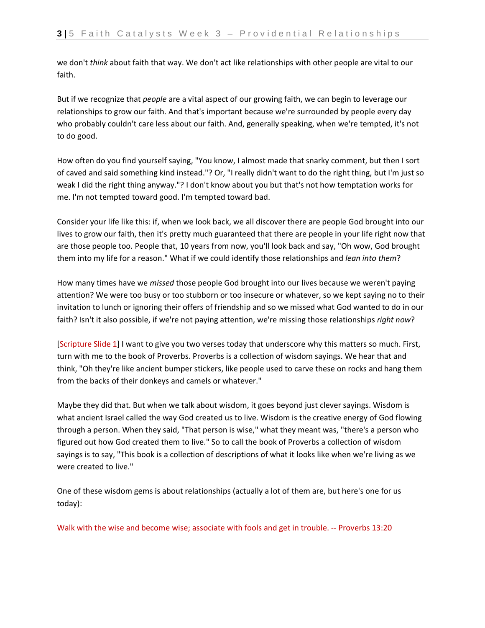we don't *think* about faith that way. We don't act like relationships with other people are vital to our faith.

But if we recognize that *people* are a vital aspect of our growing faith, we can begin to leverage our relationships to grow our faith. And that's important because we're surrounded by people every day who probably couldn't care less about our faith. And, generally speaking, when we're tempted, it's not to do good.

How often do you find yourself saying, "You know, I almost made that snarky comment, but then I sort of caved and said something kind instead."? Or, "I really didn't want to do the right thing, but I'm just so weak I did the right thing anyway."? I don't know about you but that's not how temptation works for me. I'm not tempted toward good. I'm tempted toward bad.

Consider your life like this: if, when we look back, we all discover there are people God brought into our lives to grow our faith, then it's pretty much guaranteed that there are people in your life right now that are those people too. People that, 10 years from now, you'll look back and say, "Oh wow, God brought them into my life for a reason." What if we could identify those relationships and *lean into them*?

How many times have we *missed* those people God brought into our lives because we weren't paying attention? We were too busy or too stubborn or too insecure or whatever, so we kept saying no to their invitation to lunch or ignoring their offers of friendship and so we missed what God wanted to do in our faith? Isn't it also possible, if we're not paying attention, we're missing those relationships *right now*?

[Scripture Slide 1] I want to give you two verses today that underscore why this matters so much. First, turn with me to the book of Proverbs. Proverbs is a collection of wisdom sayings. We hear that and think, "Oh they're like ancient bumper stickers, like people used to carve these on rocks and hang them from the backs of their donkeys and camels or whatever."

Maybe they did that. But when we talk about wisdom, it goes beyond just clever sayings. Wisdom is what ancient Israel called the way God created us to live. Wisdom is the creative energy of God flowing through a person. When they said, "That person is wise," what they meant was, "there's a person who figured out how God created them to live." So to call the book of Proverbs a collection of wisdom sayings is to say, "This book is a collection of descriptions of what it looks like when we're living as we were created to live."

One of these wisdom gems is about relationships (actually a lot of them are, but here's one for us today):

Walk with the wise and become wise; associate with fools and get in trouble. -- Proverbs 13:20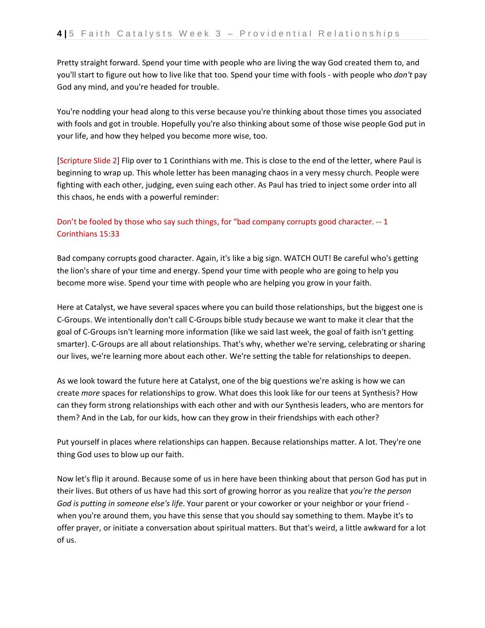Pretty straight forward. Spend your time with people who are living the way God created them to, and you'll start to figure out how to live like that too. Spend your time with fools - with people who *don't* pay God any mind, and you're headed for trouble.

You're nodding your head along to this verse because you're thinking about those times you associated with fools and got in trouble. Hopefully you're also thinking about some of those wise people God put in your life, and how they helped you become more wise, too.

[Scripture Slide 2] Flip over to 1 Corinthians with me. This is close to the end of the letter, where Paul is beginning to wrap up. This whole letter has been managing chaos in a very messy church. People were fighting with each other, judging, even suing each other. As Paul has tried to inject some order into all this chaos, he ends with a powerful reminder:

## Don't be fooled by those who say such things, for "bad company corrupts good character. -- 1 Corinthians 15:33

Bad company corrupts good character. Again, it's like a big sign. WATCH OUT! Be careful who's getting the lion's share of your time and energy. Spend your time with people who are going to help you become more wise. Spend your time with people who are helping you grow in your faith.

Here at Catalyst, we have several spaces where you can build those relationships, but the biggest one is C-Groups. We intentionally don't call C-Groups bible study because we want to make it clear that the goal of C-Groups isn't learning more information (like we said last week, the goal of faith isn't getting smarter). C-Groups are all about relationships. That's why, whether we're serving, celebrating or sharing our lives, we're learning more about each other. We're setting the table for relationships to deepen.

As we look toward the future here at Catalyst, one of the big questions we're asking is how we can create *more* spaces for relationships to grow. What does this look like for our teens at Synthesis? How can they form strong relationships with each other and with our Synthesis leaders, who are mentors for them? And in the Lab, for our kids, how can they grow in their friendships with each other?

Put yourself in places where relationships can happen. Because relationships matter. A lot. They're one thing God uses to blow up our faith.

Now let's flip it around. Because some of us in here have been thinking about that person God has put in their lives. But others of us have had this sort of growing horror as you realize that *you're the person God is putting in someone else's life*. Your parent or your coworker or your neighbor or your friend when you're around them, you have this sense that you should say something to them. Maybe it's to offer prayer, or initiate a conversation about spiritual matters. But that's weird, a little awkward for a lot of us.